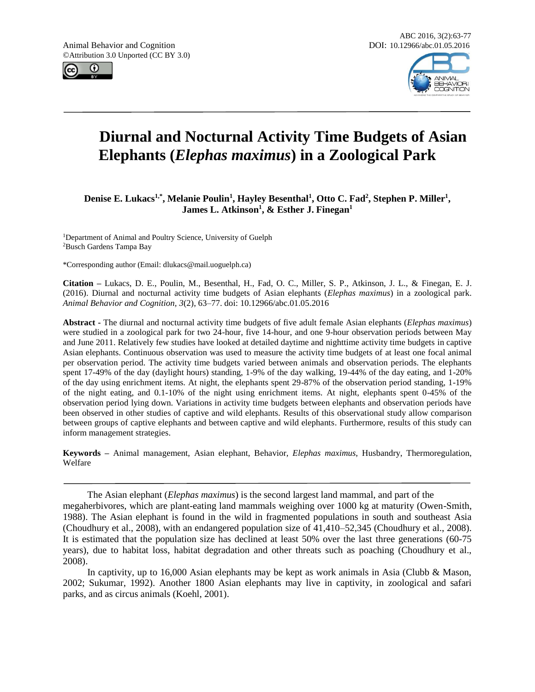Animal Behavior and Cognition **DOI: 10.12966/abc.01.05.2016** ©Attribution 3.0 Unported (CC BY 3.0)





# **Diurnal and Nocturnal Activity Time Budgets of Asian Elephants (***Elephas maximus***) in a Zoological Park**

**Denise E. Lukacs1,\*, Melanie Poulin<sup>1</sup> , Hayley Besenthal<sup>1</sup> , Otto C. Fad<sup>2</sup> , Stephen P. Miller<sup>1</sup> , James L. Atkinson<sup>1</sup> , & Esther J. Finegan<sup>1</sup>**

<sup>1</sup>Department of Animal and Poultry Science, University of Guelph <sup>2</sup>Busch Gardens Tampa Bay

\*Corresponding author (Email: dlukacs@mail.uoguelph.ca)

**Citation –** Lukacs, D. E., Poulin, M., Besenthal, H., Fad, O. C., Miller, S. P., Atkinson, J. L., & Finegan, E. J. (2016). Diurnal and nocturnal activity time budgets of Asian elephants (*Elephas maximus*) in a zoological park. *Animal Behavior and Cognition, 3*(2), 63–77. doi: 10.12966/abc.01.05.2016

**Abstract -** The diurnal and nocturnal activity time budgets of five adult female Asian elephants (*Elephas maximus*) were studied in a zoological park for two 24-hour, five 14-hour, and one 9-hour observation periods between May and June 2011. Relatively few studies have looked at detailed daytime and nighttime activity time budgets in captive Asian elephants. Continuous observation was used to measure the activity time budgets of at least one focal animal per observation period. The activity time budgets varied between animals and observation periods. The elephants spent 17-49% of the day (daylight hours) standing, 1-9% of the day walking, 19-44% of the day eating, and 1-20% of the day using enrichment items. At night, the elephants spent 29-87% of the observation period standing, 1-19% of the night eating, and 0.1-10% of the night using enrichment items. At night, elephants spent 0-45% of the observation period lying down. Variations in activity time budgets between elephants and observation periods have been observed in other studies of captive and wild elephants. Results of this observational study allow comparison between groups of captive elephants and between captive and wild elephants. Furthermore, results of this study can inform management strategies.

**Keywords –** Animal management, Asian elephant, Behavior, *Elephas maximus*, Husbandry, Thermoregulation, Welfare

The Asian elephant (*Elephas maximus*) is the second largest land mammal, and part of the megaherbivores, which are plant-eating land mammals weighing over 1000 kg at maturity (Owen-Smith, 1988). The Asian elephant is found in the wild in fragmented populations in south and southeast Asia (Choudhury et al., 2008), with an endangered population size of 41,410–52,345 (Choudhury et al., 2008). It is estimated that the population size has declined at least 50% over the last three generations (60-75 years), due to habitat loss, habitat degradation and other threats such as poaching (Choudhury et al., 2008).

In captivity, up to 16,000 Asian elephants may be kept as work animals in Asia (Clubb & Mason, 2002; Sukumar, 1992). Another 1800 Asian elephants may live in captivity, in zoological and safari parks, and as circus animals (Koehl, 2001).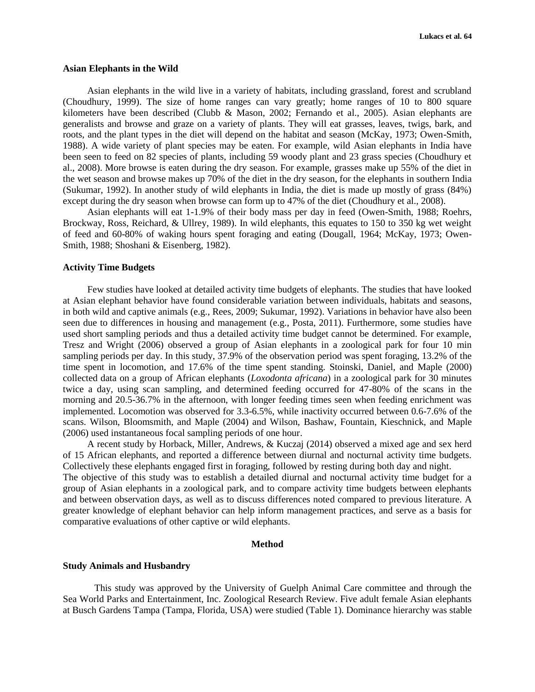#### **Asian Elephants in the Wild**

Asian elephants in the wild live in a variety of habitats, including grassland, forest and scrubland (Choudhury, 1999). The size of home ranges can vary greatly; home ranges of 10 to 800 square kilometers have been described (Clubb & Mason, 2002; Fernando et al., 2005). Asian elephants are generalists and browse and graze on a variety of plants. They will eat grasses, leaves, twigs, bark, and roots, and the plant types in the diet will depend on the habitat and season (McKay, 1973; Owen-Smith, 1988). A wide variety of plant species may be eaten. For example, wild Asian elephants in India have been seen to feed on 82 species of plants, including 59 woody plant and 23 grass species (Choudhury et al., 2008). More browse is eaten during the dry season. For example, grasses make up 55% of the diet in the wet season and browse makes up 70% of the diet in the dry season, for the elephants in southern India (Sukumar, 1992). In another study of wild elephants in India, the diet is made up mostly of grass (84%) except during the dry season when browse can form up to 47% of the diet (Choudhury et al., 2008).

Asian elephants will eat 1-1.9% of their body mass per day in feed (Owen-Smith, 1988; Roehrs, Brockway, Ross, Reichard, & Ullrey, 1989). In wild elephants, this equates to 150 to 350 kg wet weight of feed and 60-80% of waking hours spent foraging and eating (Dougall, 1964; McKay, 1973; Owen-Smith, 1988; Shoshani & Eisenberg, 1982).

#### **Activity Time Budgets**

Few studies have looked at detailed activity time budgets of elephants. The studies that have looked at Asian elephant behavior have found considerable variation between individuals, habitats and seasons, in both wild and captive animals (e.g., Rees, 2009; Sukumar, 1992). Variations in behavior have also been seen due to differences in housing and management (e.g., Posta, 2011). Furthermore, some studies have used short sampling periods and thus a detailed activity time budget cannot be determined. For example, Tresz and Wright (2006) observed a group of Asian elephants in a zoological park for four 10 min sampling periods per day. In this study, 37.9% of the observation period was spent foraging, 13.2% of the time spent in locomotion, and 17.6% of the time spent standing. Stoinski, Daniel, and Maple (2000) collected data on a group of African elephants (*Loxodonta africana*) in a zoological park for 30 minutes twice a day, using scan sampling, and determined feeding occurred for 47-80% of the scans in the morning and 20.5-36.7% in the afternoon, with longer feeding times seen when feeding enrichment was implemented. Locomotion was observed for 3.3-6.5%, while inactivity occurred between 0.6-7.6% of the scans. Wilson, Bloomsmith, and Maple (2004) and Wilson, Bashaw, Fountain, Kieschnick, and Maple (2006) used instantaneous focal sampling periods of one hour.

A recent study by Horback, Miller, Andrews, & Kuczaj (2014) observed a mixed age and sex herd of 15 African elephants, and reported a difference between diurnal and nocturnal activity time budgets. Collectively these elephants engaged first in foraging, followed by resting during both day and night. The objective of this study was to establish a detailed diurnal and nocturnal activity time budget for a group of Asian elephants in a zoological park, and to compare activity time budgets between elephants and between observation days, as well as to discuss differences noted compared to previous literature. A greater knowledge of elephant behavior can help inform management practices, and serve as a basis for comparative evaluations of other captive or wild elephants.

#### **Method**

## **Study Animals and Husbandry**

This study was approved by the University of Guelph Animal Care committee and through the Sea World Parks and Entertainment, Inc. Zoological Research Review. Five adult female Asian elephants at Busch Gardens Tampa (Tampa, Florida, USA) were studied (Table 1). Dominance hierarchy was stable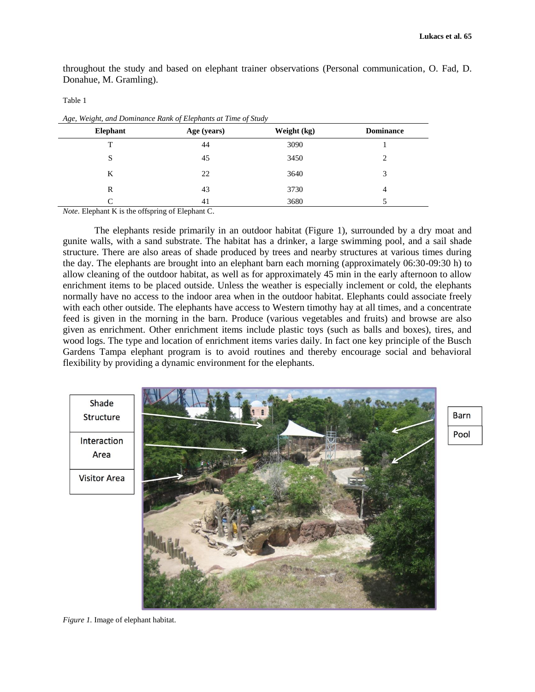throughout the study and based on elephant trainer observations (Personal communication, O. Fad, D. Donahue, M. Gramling).

Table 1

| Elephant | Age (years) | Weight (kg) | <b>Dominance</b> |
|----------|-------------|-------------|------------------|
| T        | 44          | 3090        |                  |
| S        | 45          | 3450        |                  |
| K        | 22          | 3640        | 2                |
| R        | 43          | 3730        | 4                |
| ⌒        | 41          | 3680        |                  |

*Age, Weight, and Dominance Rank of Elephants at Time of Study*

*Note*. Elephant K is the offspring of Elephant C.

The elephants reside primarily in an outdoor habitat (Figure 1), surrounded by a dry moat and gunite walls, with a sand substrate. The habitat has a drinker, a large swimming pool, and a sail shade structure. There are also areas of shade produced by trees and nearby structures at various times during the day. The elephants are brought into an elephant barn each morning (approximately 06:30-09:30 h) to allow cleaning of the outdoor habitat, as well as for approximately 45 min in the early afternoon to allow enrichment items to be placed outside. Unless the weather is especially inclement or cold, the elephants normally have no access to the indoor area when in the outdoor habitat. Elephants could associate freely with each other outside. The elephants have access to Western timothy hay at all times, and a concentrate feed is given in the morning in the barn. Produce (various vegetables and fruits) and browse are also given as enrichment. Other enrichment items include plastic toys (such as balls and boxes), tires, and wood logs. The type and location of enrichment items varies daily. In fact one key principle of the Busch Gardens Tampa elephant program is to avoid routines and thereby encourage social and behavioral flexibility by providing a dynamic environment for the elephants.



Barn

Pool

*Figure 1.* Image of elephant habitat.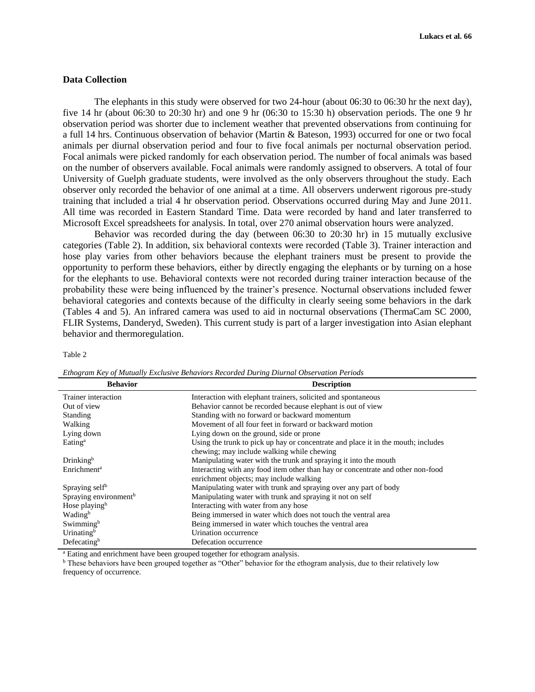# **Data Collection**

The elephants in this study were observed for two 24-hour (about 06:30 to 06:30 hr the next day), five 14 hr (about 06:30 to 20:30 hr) and one 9 hr (06:30 to 15:30 h) observation periods. The one 9 hr observation period was shorter due to inclement weather that prevented observations from continuing for a full 14 hrs. Continuous observation of behavior (Martin & Bateson, 1993) occurred for one or two focal animals per diurnal observation period and four to five focal animals per nocturnal observation period. Focal animals were picked randomly for each observation period. The number of focal animals was based on the number of observers available. Focal animals were randomly assigned to observers. A total of four University of Guelph graduate students, were involved as the only observers throughout the study. Each observer only recorded the behavior of one animal at a time. All observers underwent rigorous pre-study training that included a trial 4 hr observation period. Observations occurred during May and June 2011. All time was recorded in Eastern Standard Time. Data were recorded by hand and later transferred to Microsoft Excel spreadsheets for analysis. In total, over 270 animal observation hours were analyzed.

Behavior was recorded during the day (between 06:30 to 20:30 hr) in 15 mutually exclusive categories (Table 2). In addition, six behavioral contexts were recorded (Table 3). Trainer interaction and hose play varies from other behaviors because the elephant trainers must be present to provide the opportunity to perform these behaviors, either by directly engaging the elephants or by turning on a hose for the elephants to use. Behavioral contexts were not recorded during trainer interaction because of the probability these were being influenced by the trainer's presence. Nocturnal observations included fewer behavioral categories and contexts because of the difficulty in clearly seeing some behaviors in the dark (Tables 4 and 5). An infrared camera was used to aid in nocturnal observations (ThermaCam SC 2000, FLIR Systems, Danderyd, Sweden). This current study is part of a larger investigation into Asian elephant behavior and thermoregulation.

#### Table 2

| <b>Behavior</b>                   | <b>Description</b>                                                                |  |
|-----------------------------------|-----------------------------------------------------------------------------------|--|
| Trainer interaction               | Interaction with elephant trainers, solicited and spontaneous                     |  |
| Out of view                       | Behavior cannot be recorded because elephant is out of view                       |  |
| Standing                          | Standing with no forward or backward momentum                                     |  |
| Walking                           | Movement of all four feet in forward or backward motion                           |  |
| Lying down                        | Lying down on the ground, side or prone                                           |  |
| Eating <sup>a</sup>               | Using the trunk to pick up hay or concentrate and place it in the mouth; includes |  |
|                                   | chewing; may include walking while chewing                                        |  |
| Drinking <sup>b</sup>             | Manipulating water with the trunk and spraying it into the mouth                  |  |
| Enrichment <sup>a</sup>           | Interacting with any food item other than hay or concentrate and other non-food   |  |
|                                   | enrichment objects; may include walking                                           |  |
| Spraying self <sup>b</sup>        | Manipulating water with trunk and spraying over any part of body                  |  |
| Spraying environment <sup>b</sup> | Manipulating water with trunk and spraying it not on self                         |  |
| Hose playing <sup>b</sup>         | Interacting with water from any hose                                              |  |
| Wading <sup>b</sup>               | Being immersed in water which does not touch the ventral area                     |  |
| Swimming <sup>b</sup>             | Being immersed in water which touches the ventral area                            |  |
| Urinating <sup>b</sup>            | Urination occurrence                                                              |  |
| Defecating $b$                    | Defecation occurrence                                                             |  |

*Ethogram Key of Mutually Exclusive Behaviors Recorded During Diurnal Observation Periods*

<sup>a</sup> Eating and enrichment have been grouped together for ethogram analysis.

<sup>b</sup> These behaviors have been grouped together as "Other" behavior for the ethogram analysis, due to their relatively low frequency of occurrence.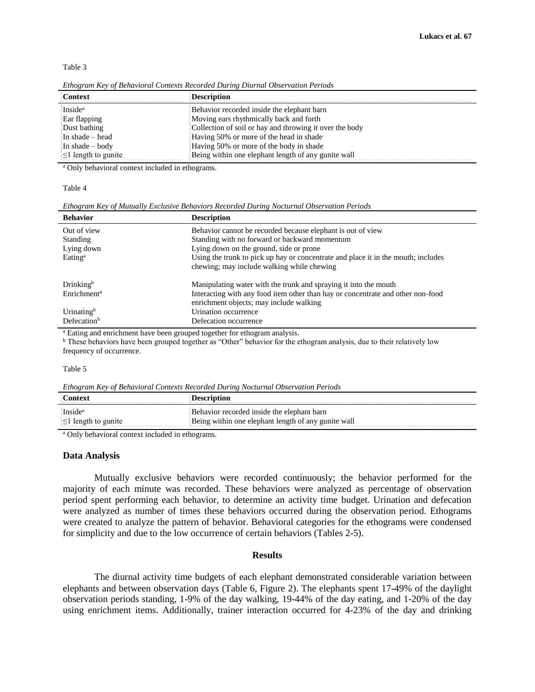Table 3

| Context                   | <b>Description</b>                                      |
|---------------------------|---------------------------------------------------------|
| Inside <sup>a</sup>       | Behavior recorded inside the elephant barn              |
| Ear flapping              | Moving ears rhythmically back and forth                 |
| Dust bathing              | Collection of soil or hay and throwing it over the body |
| In shade – head           | Having 50% or more of the head in shade                 |
| In shade $-$ body         | Having 50% or more of the body in shade                 |
| $\leq$ 1 length to gunite | Being within one elephant length of any gunite wall     |

*Ethogram Key of Behavioral Contexts Recorded During Diurnal Observation Periods*

<sup>a</sup> Only behavioral context included in ethograms.

#### Table 4

*Ethogram Key of Mutually Exclusive Behaviors Recorded During Nocturnal Observation Periods*

| <b>Behavior</b>         | <b>Description</b>                                                                |
|-------------------------|-----------------------------------------------------------------------------------|
| Out of view             | Behavior cannot be recorded because elephant is out of view                       |
| <b>Standing</b>         | Standing with no forward or backward momentum                                     |
| Lying down              | Lying down on the ground, side or prone                                           |
| Eating <sup>a</sup>     | Using the trunk to pick up hay or concentrate and place it in the mouth; includes |
|                         | chewing; may include walking while chewing                                        |
| Drinking <sup>b</sup>   | Manipulating water with the trunk and spraying it into the mouth                  |
| Enrichment <sup>a</sup> | Interacting with any food item other than hay or concentrate and other non-food   |
|                         | enrichment objects; may include walking                                           |
| Urinating <sup>b</sup>  | Urination occurrence                                                              |
| Defecation <sup>b</sup> | Defecation occurrence                                                             |

<sup>a</sup> Eating and enrichment have been grouped together for ethogram analysis.

<sup>b</sup> These behaviors have been grouped together as "Other" behavior for the ethogram analysis, due to their relatively low frequency of occurrence.

#### Table 5

*Ethogram Key of Behavioral Contexts Recorded During Nocturnal Observation Periods*

| Contex                           |                                                     |
|----------------------------------|-----------------------------------------------------|
| <sup>i</sup> Inside <sup>a</sup> | Behavior recorded inside the elephant barn          |
| $\leq$ length to gunite          | Being within one elephant length of any gunite wall |

<sup>a</sup> Only behavioral context included in ethograms.

#### **Data Analysis**

Mutually exclusive behaviors were recorded continuously; the behavior performed for the majority of each minute was recorded. These behaviors were analyzed as percentage of observation period spent performing each behavior, to determine an activity time budget. Urination and defecation were analyzed as number of times these behaviors occurred during the observation period. Ethograms were created to analyze the pattern of behavior. Behavioral categories for the ethograms were condensed for simplicity and due to the low occurrence of certain behaviors (Tables 2-5).

## **Results**

The diurnal activity time budgets of each elephant demonstrated considerable variation between elephants and between observation days (Table 6, Figure 2). The elephants spent 17-49% of the daylight observation periods standing, 1-9% of the day walking, 19-44% of the day eating, and 1-20% of the day using enrichment items. Additionally, trainer interaction occurred for 4-23% of the day and drinking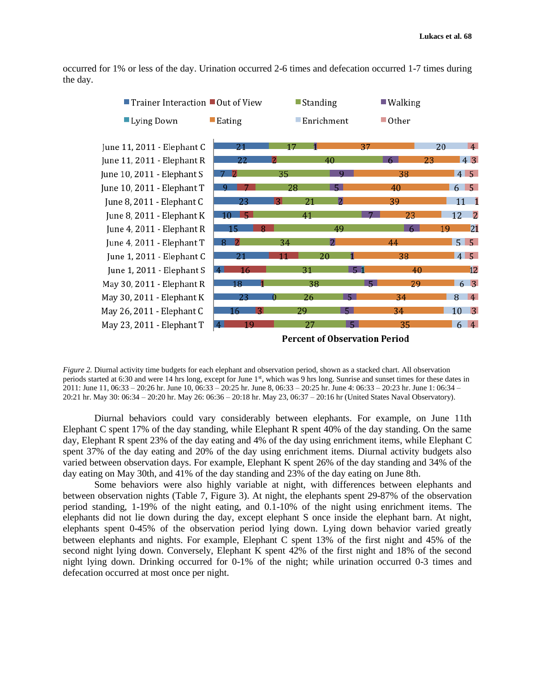occurred for 1% or less of the day. Urination occurred 2-6 times and defecation occurred 1-7 times during the day.



*Figure 2.* Diurnal activity time budgets for each elephant and observation period, shown as a stacked chart. All observation periods started at 6:30 and were 14 hrs long, except for June 1<sup>st</sup>, which was 9 hrs long. Sunrise and sunset times for these dates in 2011: June 11, 06:33 – 20:26 hr. June 10, 06:33 – 20:25 hr. June 8, 06:33 – 20:25 hr. June 4: 06:33 – 20:23 hr. June 1: 06:34 – 20:21 hr. May 30: 06:34 – 20:20 hr. May 26: 06:36 – 20:18 hr. May 23, 06:37 – 20:16 hr (United States Naval Observatory).

Diurnal behaviors could vary considerably between elephants. For example, on June 11th Elephant C spent 17% of the day standing, while Elephant R spent 40% of the day standing. On the same day, Elephant R spent 23% of the day eating and 4% of the day using enrichment items, while Elephant C spent 37% of the day eating and 20% of the day using enrichment items. Diurnal activity budgets also varied between observation days. For example, Elephant K spent 26% of the day standing and 34% of the day eating on May 30th, and 41% of the day standing and 23% of the day eating on June 8th.

Some behaviors were also highly variable at night, with differences between elephants and between observation nights (Table 7, Figure 3). At night, the elephants spent 29-87% of the observation period standing, 1-19% of the night eating, and 0.1-10% of the night using enrichment items. The elephants did not lie down during the day, except elephant S once inside the elephant barn. At night, elephants spent 0-45% of the observation period lying down. Lying down behavior varied greatly between elephants and nights. For example, Elephant C spent 13% of the first night and 45% of the second night lying down. Conversely, Elephant K spent 42% of the first night and 18% of the second night lying down. Drinking occurred for 0-1% of the night; while urination occurred 0-3 times and defecation occurred at most once per night.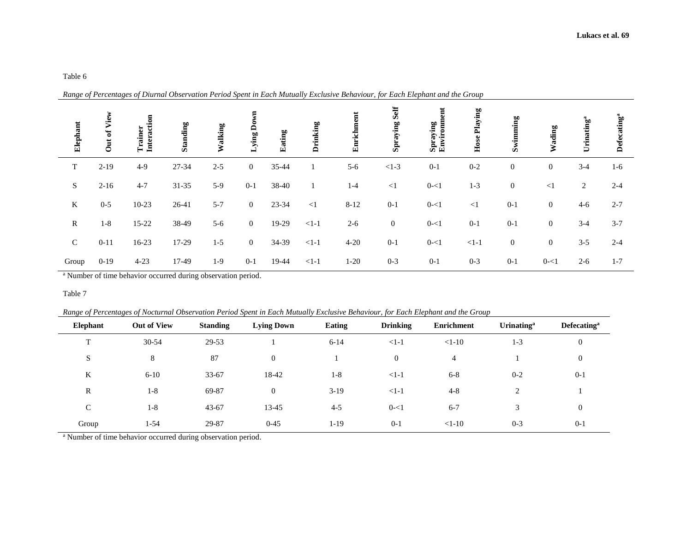Table 6

|  |  |  |  |  | Range of Percentages of Diurnal Observation Period Spent in Each Mutually Exclusive Behaviour, for Each Elephant and the Group |  |  |  |
|--|--|--|--|--|--------------------------------------------------------------------------------------------------------------------------------|--|--|--|
|--|--|--|--|--|--------------------------------------------------------------------------------------------------------------------------------|--|--|--|

| Elephant    | View<br>đ<br>$\frac{1}{2}$ | Interaction<br>Trainer | Standing | Walking | Lying Do       | Eating | Drinking | Enrichment | <b>Spraying Self</b> | ut<br>Spraying<br>Environm | <b>Hose Playing</b> | Swimming         | Wading           | Urinating <sup>a</sup> | <b>Defecating</b> <sup>a</sup> |
|-------------|----------------------------|------------------------|----------|---------|----------------|--------|----------|------------|----------------------|----------------------------|---------------------|------------------|------------------|------------------------|--------------------------------|
| T           | $2-19$                     | $4-9$                  | 27-34    | $2 - 5$ | $\overline{0}$ | 35-44  | 1        | $5 - 6$    | $<1-3$               | $0 - 1$                    | $0 - 2$             | $\mathbf{0}$     | $\boldsymbol{0}$ | $3-4$                  | $1-6$                          |
| S           | $2-16$                     | $4 - 7$                | 31-35    | $5-9$   | $0 - 1$        | 38-40  | 1        | $1-4$      | $\leq$ 1             | $0 - 1$                    | $1-3$               | $\boldsymbol{0}$ | $\leq$ 1         | 2                      | $2 - 4$                        |
| $\bf{K}$    | $0 - 5$                    | $10 - 23$              | 26-41    | $5 - 7$ | $\mathbf{0}$   | 23-34  | $\leq$ 1 | $8 - 12$   | $0-1$                | $0 - 1$                    | $\leq$ 1            | $0 - 1$          | $\boldsymbol{0}$ | $4 - 6$                | $2 - 7$                        |
| $\mathbf R$ | $1 - 8$                    | 15-22                  | 38-49    | $5 - 6$ | $\overline{0}$ | 19-29  | $<1-1$   | $2 - 6$    | $\boldsymbol{0}$     | $0 - 1$                    | $0 - 1$             | $0 - 1$          | $\boldsymbol{0}$ | $3-4$                  | $3 - 7$                        |
| $\mathbf C$ | $0 - 11$                   | 16-23                  | 17-29    | $1 - 5$ | $\overline{0}$ | 34-39  | $<1-1$   | $4 - 20$   | $0-1$                | $0 - 1$                    | $<1-1$              | $\boldsymbol{0}$ | $\boldsymbol{0}$ | $3 - 5$                | $2 - 4$                        |
| Group       | $0-19$                     | $4 - 23$               | 17-49    | $1-9$   | $0 - 1$        | 19-44  | $<1-1$   | $1-20$     | $0 - 3$              | $0 - 1$                    | $0 - 3$             | $0 - 1$          | $0 - 1$          | $2 - 6$                | $1 - 7$                        |

<sup>a</sup> Number of time behavior occurred during observation period.

Table 7

*Range of Percentages of Nocturnal Observation Period Spent in Each Mutually Exclusive Behaviour, for Each Elephant and the Group*

| Elephant     | <b>Out of View</b> | <b>Standing</b> | <b>Lying Down</b> | Eating   | <b>Drinking</b> | Enrichment | <b>Urinating</b> <sup>a</sup> | <b>Defecating</b> <sup>a</sup> |
|--------------|--------------------|-----------------|-------------------|----------|-----------------|------------|-------------------------------|--------------------------------|
| $\mathbf{r}$ | 30-54              | 29-53           |                   | $6 - 14$ | $<1-1$          | $<1-10$    | $1-3$                         | $\boldsymbol{0}$               |
| S            | 8                  | 87              | $\boldsymbol{0}$  |          | $\overline{0}$  | 4          |                               | $\boldsymbol{0}$               |
| K            | $6-10$             | $33 - 67$       | 18-42             | $1-8$    | $<1-1$          | $6 - 8$    | $0 - 2$                       | $0 - 1$                        |
| R            | $1-8$              | 69-87           | $\overline{0}$    | $3-19$   | $<1-1$          | $4 - 8$    |                               |                                |
| C            | $1-8$              | 43-67           | 13-45             | $4 - 5$  | $0 - 1$         | $6 - 7$    |                               | $\boldsymbol{0}$               |
| Group        | 1-54               | 29-87           | $0 - 45$          | $1 - 19$ | $0-1$           | $<1-10$    | $0 - 3$                       | $0-1$                          |

<sup>a</sup> Number of time behavior occurred during observation period.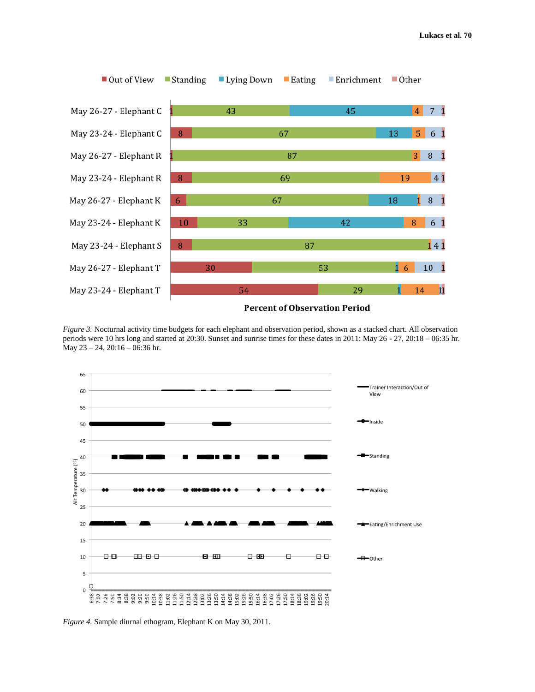

*Figure 3.* Nocturnal activity time budgets for each elephant and observation period, shown as a stacked chart. All observation periods were 10 hrs long and started at 20:30. Sunset and sunrise times for these dates in 2011: May 26 - 27, 20:18 – 06:35 hr. May 23 – 24, 20:16 – 06:36 hr.



*Figure 4.* Sample diurnal ethogram, Elephant K on May 30, 2011.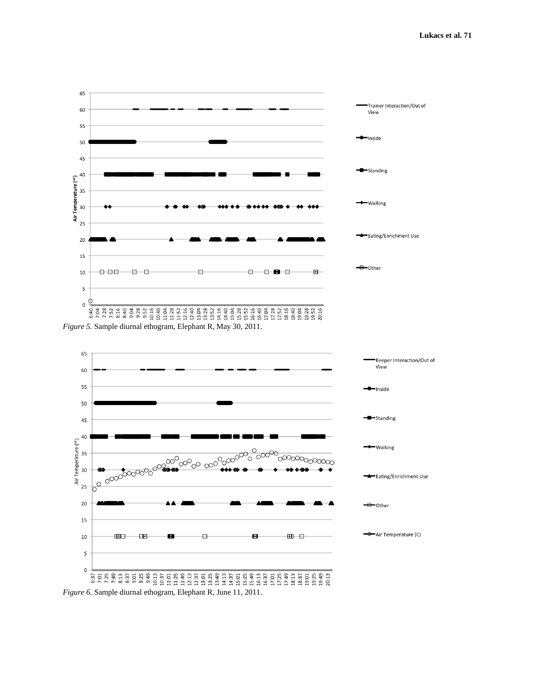

*Figure 5.* Sample diurnal ethogram, Elephant R, May 30, 2011.



*Figure 6.* Sample diurnal ethogram, Elephant R, June 11, 2011.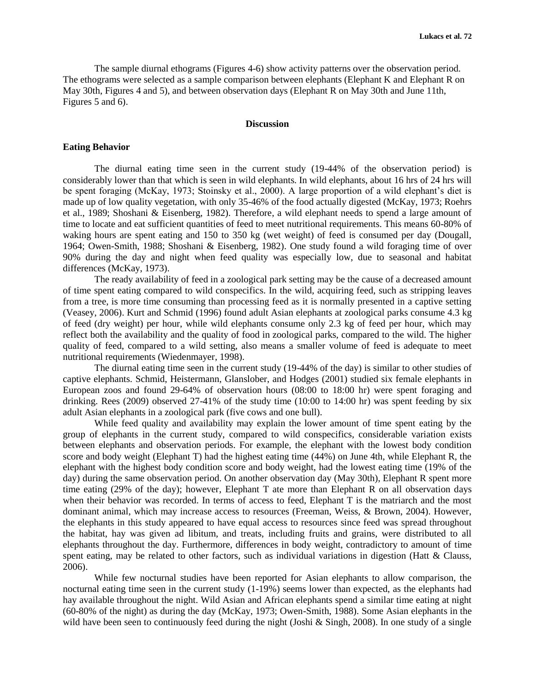The sample diurnal ethograms (Figures 4-6) show activity patterns over the observation period. The ethograms were selected as a sample comparison between elephants (Elephant K and Elephant R on May 30th, Figures 4 and 5), and between observation days (Elephant R on May 30th and June 11th, Figures 5 and 6).

#### **Discussion**

## **Eating Behavior**

The diurnal eating time seen in the current study (19-44% of the observation period) is considerably lower than that which is seen in wild elephants. In wild elephants, about 16 hrs of 24 hrs will be spent foraging (McKay, 1973; Stoinsky et al., 2000). A large proportion of a wild elephant's diet is made up of low quality vegetation, with only 35-46% of the food actually digested (McKay, 1973; Roehrs et al., 1989; Shoshani & Eisenberg, 1982). Therefore, a wild elephant needs to spend a large amount of time to locate and eat sufficient quantities of feed to meet nutritional requirements. This means 60-80% of waking hours are spent eating and 150 to 350 kg (wet weight) of feed is consumed per day (Dougall, 1964; Owen-Smith, 1988; Shoshani & Eisenberg, 1982). One study found a wild foraging time of over 90% during the day and night when feed quality was especially low, due to seasonal and habitat differences (McKay, 1973).

The ready availability of feed in a zoological park setting may be the cause of a decreased amount of time spent eating compared to wild conspecifics. In the wild, acquiring feed, such as stripping leaves from a tree, is more time consuming than processing feed as it is normally presented in a captive setting (Veasey, 2006). Kurt and Schmid (1996) found adult Asian elephants at zoological parks consume 4.3 kg of feed (dry weight) per hour, while wild elephants consume only 2.3 kg of feed per hour, which may reflect both the availability and the quality of food in zoological parks, compared to the wild. The higher quality of feed, compared to a wild setting, also means a smaller volume of feed is adequate to meet nutritional requirements (Wiedenmayer, 1998).

The diurnal eating time seen in the current study (19-44% of the day) is similar to other studies of captive elephants. Schmid, Heistermann, Glanslober, and Hodges (2001) studied six female elephants in European zoos and found 29-64% of observation hours (08:00 to 18:00 hr) were spent foraging and drinking. Rees (2009) observed 27-41% of the study time (10:00 to 14:00 hr) was spent feeding by six adult Asian elephants in a zoological park (five cows and one bull).

While feed quality and availability may explain the lower amount of time spent eating by the group of elephants in the current study, compared to wild conspecifics, considerable variation exists between elephants and observation periods. For example, the elephant with the lowest body condition score and body weight (Elephant T) had the highest eating time (44%) on June 4th, while Elephant R, the elephant with the highest body condition score and body weight, had the lowest eating time (19% of the day) during the same observation period. On another observation day (May 30th), Elephant R spent more time eating (29% of the day); however, Elephant T ate more than Elephant R on all observation days when their behavior was recorded. In terms of access to feed, Elephant T is the matriarch and the most dominant animal, which may increase access to resources (Freeman, Weiss, & Brown, 2004). However, the elephants in this study appeared to have equal access to resources since feed was spread throughout the habitat, hay was given ad libitum, and treats, including fruits and grains, were distributed to all elephants throughout the day. Furthermore, differences in body weight, contradictory to amount of time spent eating, may be related to other factors, such as individual variations in digestion (Hatt & Clauss, 2006).

While few nocturnal studies have been reported for Asian elephants to allow comparison, the nocturnal eating time seen in the current study (1-19%) seems lower than expected, as the elephants had hay available throughout the night. Wild Asian and African elephants spend a similar time eating at night (60-80% of the night) as during the day (McKay, 1973; Owen-Smith, 1988). Some Asian elephants in the wild have been seen to continuously feed during the night (Joshi  $&$  Singh, 2008). In one study of a single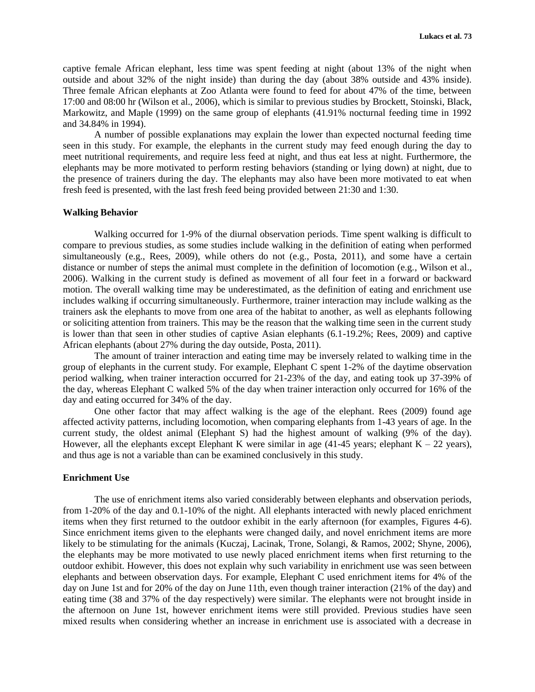captive female African elephant, less time was spent feeding at night (about 13% of the night when outside and about 32% of the night inside) than during the day (about 38% outside and 43% inside). Three female African elephants at Zoo Atlanta were found to feed for about 47% of the time, between 17:00 and 08:00 hr (Wilson et al., 2006), which is similar to previous studies by Brockett, Stoinski, Black, Markowitz, and Maple (1999) on the same group of elephants (41.91% nocturnal feeding time in 1992 and 34.84% in 1994).

A number of possible explanations may explain the lower than expected nocturnal feeding time seen in this study. For example, the elephants in the current study may feed enough during the day to meet nutritional requirements, and require less feed at night, and thus eat less at night. Furthermore, the elephants may be more motivated to perform resting behaviors (standing or lying down) at night, due to the presence of trainers during the day. The elephants may also have been more motivated to eat when fresh feed is presented, with the last fresh feed being provided between 21:30 and 1:30.

#### **Walking Behavior**

Walking occurred for 1-9% of the diurnal observation periods. Time spent walking is difficult to compare to previous studies, as some studies include walking in the definition of eating when performed simultaneously (e.g., Rees, 2009), while others do not (e.g., Posta, 2011), and some have a certain distance or number of steps the animal must complete in the definition of locomotion (e.g., Wilson et al., 2006). Walking in the current study is defined as movement of all four feet in a forward or backward motion. The overall walking time may be underestimated, as the definition of eating and enrichment use includes walking if occurring simultaneously. Furthermore, trainer interaction may include walking as the trainers ask the elephants to move from one area of the habitat to another, as well as elephants following or soliciting attention from trainers. This may be the reason that the walking time seen in the current study is lower than that seen in other studies of captive Asian elephants (6.1-19.2%; Rees, 2009) and captive African elephants (about 27% during the day outside, Posta, 2011).

The amount of trainer interaction and eating time may be inversely related to walking time in the group of elephants in the current study. For example, Elephant C spent 1-2% of the daytime observation period walking, when trainer interaction occurred for 21-23% of the day, and eating took up 37-39% of the day, whereas Elephant C walked 5% of the day when trainer interaction only occurred for 16% of the day and eating occurred for 34% of the day.

One other factor that may affect walking is the age of the elephant. Rees (2009) found age affected activity patterns, including locomotion, when comparing elephants from 1-43 years of age. In the current study, the oldest animal (Elephant S) had the highest amount of walking (9% of the day). However, all the elephants except Elephant K were similar in age  $(41-45)$  years; elephant K – 22 years), and thus age is not a variable than can be examined conclusively in this study.

## **Enrichment Use**

The use of enrichment items also varied considerably between elephants and observation periods, from 1-20% of the day and 0.1-10% of the night. All elephants interacted with newly placed enrichment items when they first returned to the outdoor exhibit in the early afternoon (for examples, Figures 4-6). Since enrichment items given to the elephants were changed daily, and novel enrichment items are more likely to be stimulating for the animals (Kuczaj, Lacinak, Trone, Solangi, & Ramos, 2002; Shyne, 2006), the elephants may be more motivated to use newly placed enrichment items when first returning to the outdoor exhibit. However, this does not explain why such variability in enrichment use was seen between elephants and between observation days. For example, Elephant C used enrichment items for 4% of the day on June 1st and for 20% of the day on June 11th, even though trainer interaction (21% of the day) and eating time (38 and 37% of the day respectively) were similar. The elephants were not brought inside in the afternoon on June 1st, however enrichment items were still provided. Previous studies have seen mixed results when considering whether an increase in enrichment use is associated with a decrease in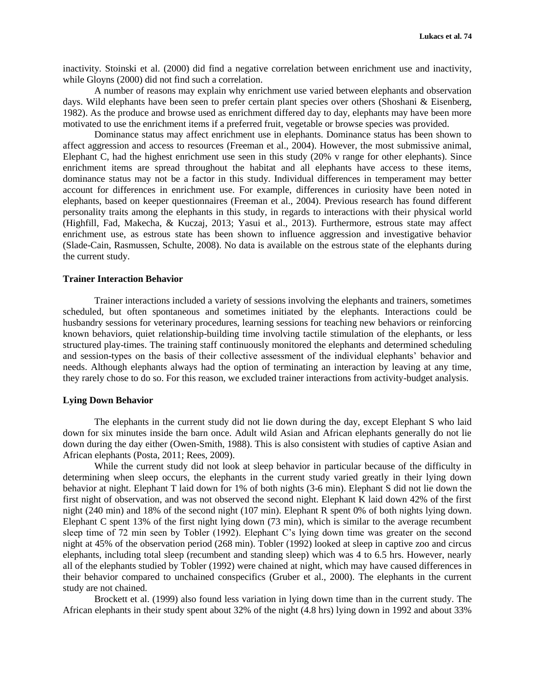inactivity. Stoinski et al. (2000) did find a negative correlation between enrichment use and inactivity, while Gloyns (2000) did not find such a correlation.

A number of reasons may explain why enrichment use varied between elephants and observation days. Wild elephants have been seen to prefer certain plant species over others (Shoshani & Eisenberg, 1982). As the produce and browse used as enrichment differed day to day, elephants may have been more motivated to use the enrichment items if a preferred fruit, vegetable or browse species was provided.

Dominance status may affect enrichment use in elephants. Dominance status has been shown to affect aggression and access to resources (Freeman et al., 2004). However, the most submissive animal, Elephant C, had the highest enrichment use seen in this study (20% v range for other elephants). Since enrichment items are spread throughout the habitat and all elephants have access to these items, dominance status may not be a factor in this study. Individual differences in temperament may better account for differences in enrichment use. For example, differences in curiosity have been noted in elephants, based on keeper questionnaires (Freeman et al., 2004). Previous research has found different personality traits among the elephants in this study, in regards to interactions with their physical world (Highfill, Fad, Makecha, & Kuczaj, 2013; Yasui et al., 2013). Furthermore, estrous state may affect enrichment use, as estrous state has been shown to influence aggression and investigative behavior (Slade-Cain, Rasmussen, Schulte, 2008). No data is available on the estrous state of the elephants during the current study.

# **Trainer Interaction Behavior**

Trainer interactions included a variety of sessions involving the elephants and trainers, sometimes scheduled, but often spontaneous and sometimes initiated by the elephants. Interactions could be husbandry sessions for veterinary procedures, learning sessions for teaching new behaviors or reinforcing known behaviors, quiet relationship-building time involving tactile stimulation of the elephants, or less structured play-times. The training staff continuously monitored the elephants and determined scheduling and session-types on the basis of their collective assessment of the individual elephants' behavior and needs. Although elephants always had the option of terminating an interaction by leaving at any time, they rarely chose to do so. For this reason, we excluded trainer interactions from activity-budget analysis.

### **Lying Down Behavior**

The elephants in the current study did not lie down during the day, except Elephant S who laid down for six minutes inside the barn once. Adult wild Asian and African elephants generally do not lie down during the day either (Owen-Smith, 1988). This is also consistent with studies of captive Asian and African elephants (Posta, 2011; Rees, 2009).

While the current study did not look at sleep behavior in particular because of the difficulty in determining when sleep occurs, the elephants in the current study varied greatly in their lying down behavior at night. Elephant T laid down for 1% of both nights (3-6 min). Elephant S did not lie down the first night of observation, and was not observed the second night. Elephant K laid down 42% of the first night (240 min) and 18% of the second night (107 min). Elephant R spent 0% of both nights lying down. Elephant C spent 13% of the first night lying down (73 min), which is similar to the average recumbent sleep time of 72 min seen by Tobler (1992). Elephant C's lying down time was greater on the second night at 45% of the observation period (268 min). Tobler (1992) looked at sleep in captive zoo and circus elephants, including total sleep (recumbent and standing sleep) which was 4 to 6.5 hrs. However, nearly all of the elephants studied by Tobler (1992) were chained at night, which may have caused differences in their behavior compared to unchained conspecifics (Gruber et al., 2000). The elephants in the current study are not chained.

Brockett et al. (1999) also found less variation in lying down time than in the current study. The African elephants in their study spent about 32% of the night (4.8 hrs) lying down in 1992 and about 33%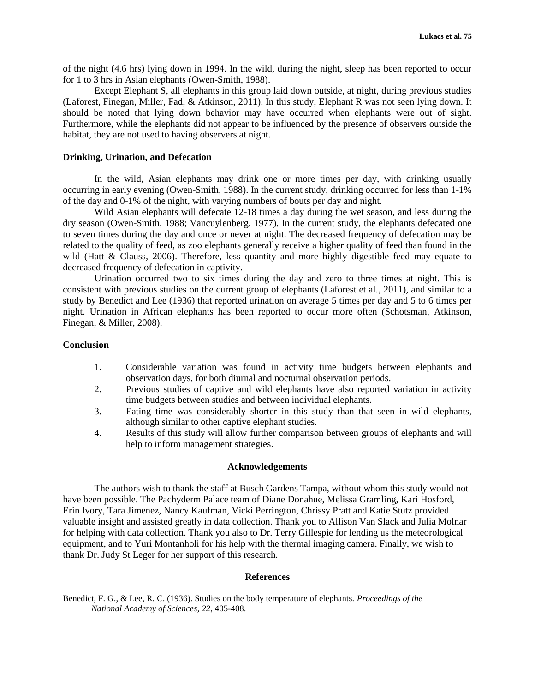of the night (4.6 hrs) lying down in 1994. In the wild, during the night, sleep has been reported to occur for 1 to 3 hrs in Asian elephants (Owen-Smith, 1988).

Except Elephant S, all elephants in this group laid down outside, at night, during previous studies (Laforest, Finegan, Miller, Fad, & Atkinson, 2011). In this study, Elephant R was not seen lying down. It should be noted that lying down behavior may have occurred when elephants were out of sight. Furthermore, while the elephants did not appear to be influenced by the presence of observers outside the habitat, they are not used to having observers at night.

## **Drinking, Urination, and Defecation**

In the wild, Asian elephants may drink one or more times per day, with drinking usually occurring in early evening (Owen-Smith, 1988). In the current study, drinking occurred for less than 1-1% of the day and 0-1% of the night, with varying numbers of bouts per day and night.

Wild Asian elephants will defecate 12-18 times a day during the wet season, and less during the dry season (Owen-Smith, 1988; Vancuylenberg, 1977). In the current study, the elephants defecated one to seven times during the day and once or never at night. The decreased frequency of defecation may be related to the quality of feed, as zoo elephants generally receive a higher quality of feed than found in the wild (Hatt & Clauss, 2006). Therefore, less quantity and more highly digestible feed may equate to decreased frequency of defecation in captivity.

Urination occurred two to six times during the day and zero to three times at night. This is consistent with previous studies on the current group of elephants (Laforest et al., 2011), and similar to a study by Benedict and Lee (1936) that reported urination on average 5 times per day and 5 to 6 times per night. Urination in African elephants has been reported to occur more often (Schotsman, Atkinson, Finegan, & Miller, 2008).

# **Conclusion**

- 1. Considerable variation was found in activity time budgets between elephants and observation days, for both diurnal and nocturnal observation periods.
- 2. Previous studies of captive and wild elephants have also reported variation in activity time budgets between studies and between individual elephants.
- 3. Eating time was considerably shorter in this study than that seen in wild elephants, although similar to other captive elephant studies.
- 4. Results of this study will allow further comparison between groups of elephants and will help to inform management strategies.

# **Acknowledgements**

The authors wish to thank the staff at Busch Gardens Tampa, without whom this study would not have been possible. The Pachyderm Palace team of Diane Donahue, Melissa Gramling, Kari Hosford, Erin Ivory, Tara Jimenez, Nancy Kaufman, Vicki Perrington, Chrissy Pratt and Katie Stutz provided valuable insight and assisted greatly in data collection. Thank you to Allison Van Slack and Julia Molnar for helping with data collection. Thank you also to Dr. Terry Gillespie for lending us the meteorological equipment, and to Yuri Montanholi for his help with the thermal imaging camera. Finally, we wish to thank Dr. Judy St Leger for her support of this research.

## **References**

Benedict, F. G., & Lee, R. C. (1936). Studies on the body temperature of elephants. *Proceedings of the National Academy of Sciences*, *22*, 405-408.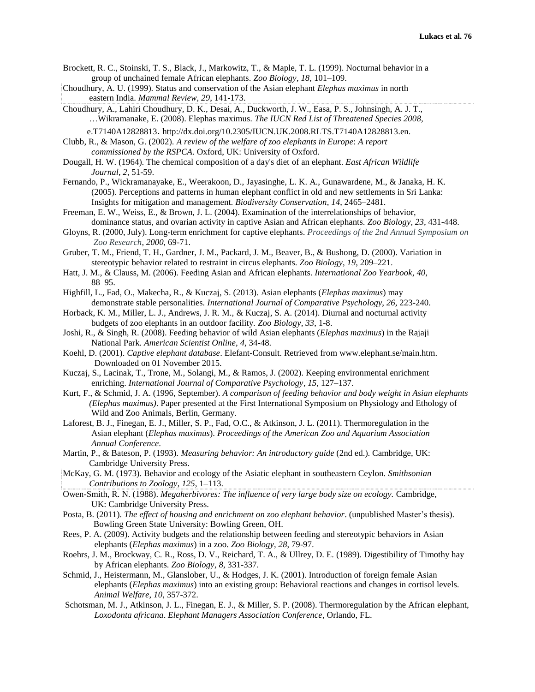- Brockett, R. C., Stoinski, T. S., Black, J., Markowitz, T., & Maple, T. L. (1999). Nocturnal behavior in a group of unchained female African elephants. *Zoo Biology*, *18*, 101–109.
- Choudhury, A. U. (1999). Status and conservation of the Asian elephant *Elephas maximus* in north eastern India. *Mammal Review*, *29*, 141-173.
- Choudhury, A., Lahiri Choudhury, D. K., Desai, A., Duckworth, J. W., Easa, P. S., Johnsingh, A. J. T., …Wikramanake, E. (2008). Elephas maximus. *The IUCN Red List of Threatened Species 2008,* e.T7140A12828813. http://dx.doi.org/10.2305/IUCN.UK.2008.RLTS.T7140A12828813.en.

Clubb, R., & Mason, G. (2002). *A review of the welfare of zoo elephants in Europe*: *A report commissioned by the RSPCA*. Oxford, UK: University of Oxford.

- Dougall, H. W. (1964). The chemical composition of a day's diet of an elephant. *East African Wildlife Journal*, *2*, 51-59.
- Fernando, P., Wickramanayake, E., Weerakoon, D., Jayasinghe, L. K. A., Gunawardene, M., & Janaka, H. K. (2005). Perceptions and patterns in human elephant conflict in old and new settlements in Sri Lanka: Insights for mitigation and management. *Biodiversity Conservation*, *14*, 2465–2481.
- Freeman, E. W., Weiss, E., & Brown, J. L. (2004). Examination of the interrelationships of behavior, dominance status, and ovarian activity in captive Asian and African elephants. *Zoo Biology*, *23*, 431-448.
- Gloyns, R. (2000, July). Long-term enrichment for captive elephants. *Proceedings of the 2nd Annual Symposium on Zoo Research, 2000,* 69-71.
- Gruber, T. M., Friend, T. H., Gardner, J. M., Packard, J. M., Beaver, B., & Bushong, D. (2000). Variation in stereotypic behavior related to restraint in circus elephants. *Zoo Biology*, *19*, 209–221.
- Hatt, J. M., & Clauss, M. (2006). Feeding Asian and African elephants. *International Zoo Yearbook*, *40*, 88–95.
- Highfill, L., Fad, O., Makecha, R., & Kuczaj, S. (2013). Asian elephants (*Elephas maximus*) may demonstrate stable personalities. *International Journal of Comparative Psychology*, *26*, 223-240.
- Horback, K. M., Miller, L. J., Andrews, J. R. M., & Kuczaj, S. A. (2014). Diurnal and nocturnal activity budgets of zoo elephants in an outdoor facility. *Zoo Biology*, *33*, 1-8.
- Joshi, R., & Singh, R. (2008). Feeding behavior of wild Asian elephants (*Elephas maximus*) in the Rajaji National Park. *American Scientist Online*, *4*, 34-48.
- Koehl, D. (2001). *Captive elephant database*. Elefant-Consult. Retrieved from www.elephant.se/main.htm. Downloaded on 01 November 2015.
- Kuczaj, S., Lacinak, T., Trone, M., Solangi, M., & Ramos, J. (2002). Keeping environmental enrichment enriching. *International Journal of Comparative Psychology*, *15*, 127–137.
- Kurt, F., & Schmid, J. A. (1996, September). *A comparison of feeding behavior and body weight in Asian elephants (Elephas maximus)*. Paper presented at the First International Symposium on Physiology and Ethology of Wild and Zoo Animals, Berlin, Germany.
- Laforest, B. J., Finegan, E. J., Miller, S. P., Fad, O.C., & Atkinson, J. L. (2011). Thermoregulation in the Asian elephant (*Elephas maximus*). *Proceedings of the American Zoo and Aquarium Association Annual Conference.*
- Martin, P., & Bateson, P. (1993). *Measuring behavior: An introductory guide* (2nd ed.). Cambridge, UK: Cambridge University Press.
- McKay, G. M. (1973). Behavior and ecology of the Asiatic elephant in southeastern Ceylon. *Smithsonian Contributions to Zoology*, *125*, 1–113.
- Owen-Smith, R. N. (1988). *Megaherbivores: The influence of very large body size on ecology.* Cambridge, UK: Cambridge University Press.
- Posta, B. (2011). *The effect of housing and enrichment on zoo elephant behavior*. (unpublished Master's thesis). Bowling Green State University: Bowling Green, OH.
- Rees, P. A. (2009). Activity budgets and the relationship between feeding and stereotypic behaviors in Asian elephants (*Elephas maximus*) in a zoo. *Zoo Biology*, *28*, 79-97.
- Roehrs, J. M., Brockway, C. R., Ross, D. V., Reichard, T. A., & Ullrey, D. E. (1989). Digestibility of Timothy hay by African elephants. *Zoo Biology*, *8*, 331-337.
- Schmid, J., Heistermann, M., Glanslober, U., & Hodges, J. K. (2001). Introduction of foreign female Asian elephants (*Elephas maximus*) into an existing group: Behavioral reactions and changes in cortisol levels. *Animal Welfare*, *10*, 357-372.
- Schotsman, M. J., Atkinson, J. L., Finegan, E. J., & Miller, S. P. (2008). Thermoregulation by the African elephant, *Loxodonta africana*. *Elephant Managers Association Conference*, Orlando, FL.